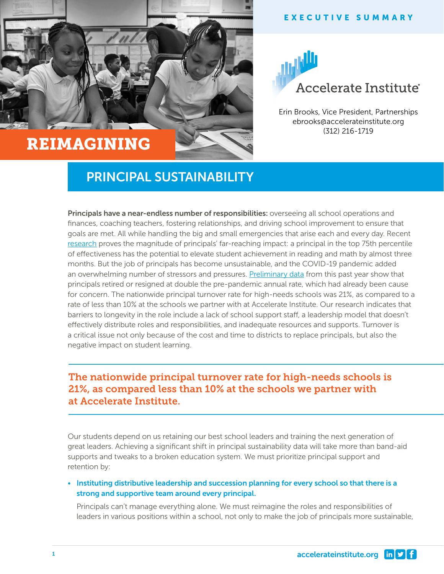

# REIMAGINING



Erin Brooks, Vice President, Partnerships ebrooks@accelerateinstitute.org (312) 216-1719

## PRINCIPAL SUSTAINABILITY

Principals have a near-endless number of responsibilities: overseeing all school operations and finances, coaching teachers, fostering relationships, and driving school improvement to ensure that goals are met. All while handling the big and small emergencies that arise each and every day. Recent [research](https://www.wallacefoundation.org/knowledge-center/pages/how-principals-affect-students-and-schools-a-systematic-synthesis-of-two-decades-of-research.aspx) proves the magnitude of principals' far-reaching impact: a principal in the top 75th percentile of effectiveness has the potential to elevate student achievement in reading and math by almost three months. But the job of principals has become unsustainable, and the COVID-19 pandemic added an overwhelming number of stressors and pressures. [Preliminary data](https://www.americanschooldistrictpanel.org/survey-results/2021-summer.html) from this past year show that principals retired or resigned at double the pre-pandemic annual rate, which had already been cause for concern. The nationwide principal turnover rate for high-needs schools was 21%, as compared to a rate of less than 10% at the schools we partner with at Accelerate Institute. Our research indicates that barriers to longevity in the role include a lack of school support staff, a leadership model that doesn't effectively distribute roles and responsibilities, and inadequate resources and supports. Turnover is a critical issue not only because of the cost and time to districts to replace principals, but also the negative impact on student learning.

### The nationwide principal turnover rate for high-needs schools is 21%, as compared less than 10% at the schools we partner with at Accelerate Institute.

Our students depend on us retaining our best school leaders and training the next generation of great leaders. Achieving a significant shift in principal sustainability data will take more than band-aid supports and tweaks to a broken education system. We must prioritize principal support and retention by:

#### • Instituting distributive leadership and succession planning for every school so that there is a strong and supportive team around every principal.

Principals can't manage everything alone. We must reimagine the roles and responsibilities of leaders in various positions within a school, not only to make the job of principals more sustainable,